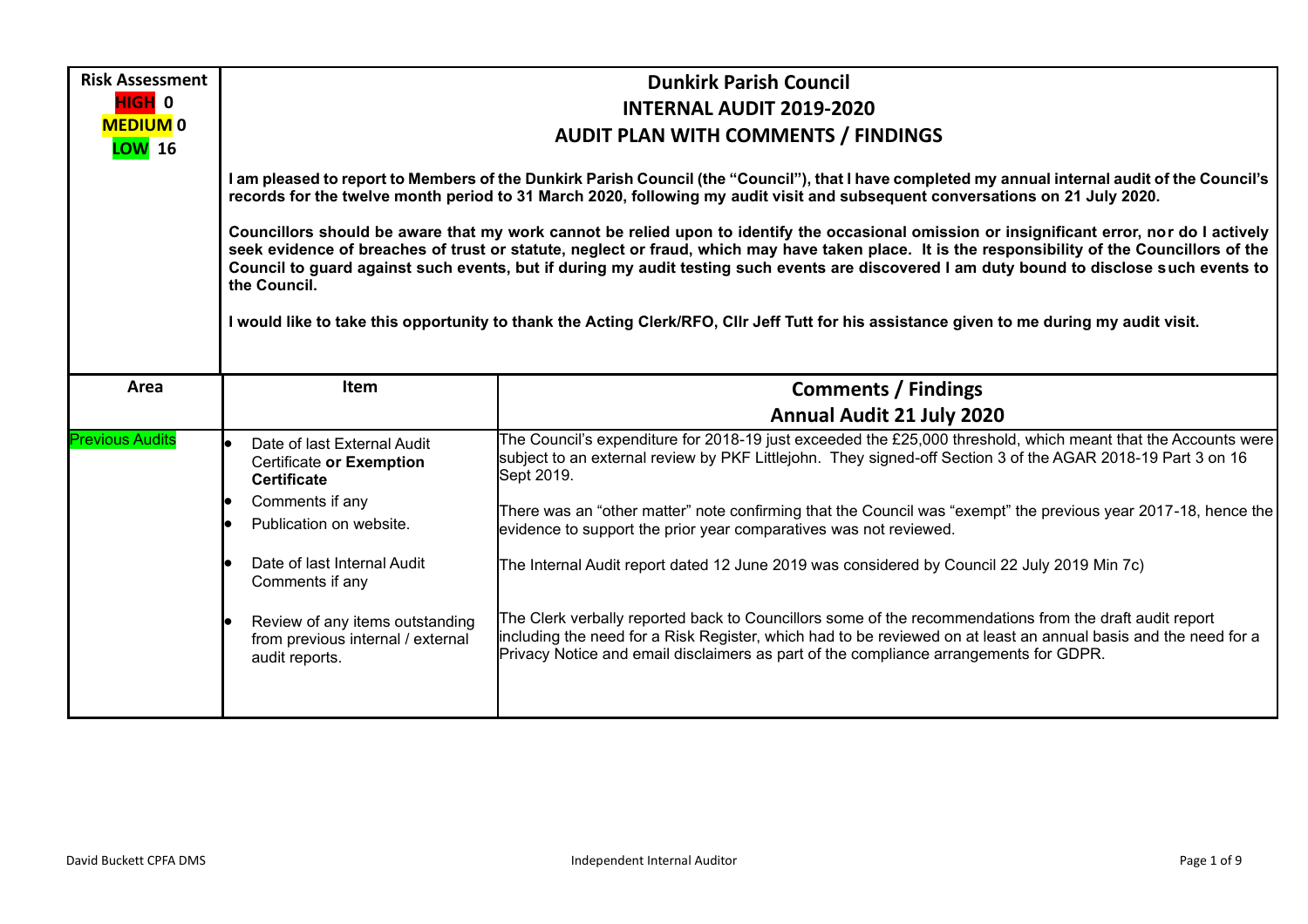| <b>Risk Assessment</b>          | <b>Dunkirk Parish Council</b>                                                                                                                                                                                                                                                    |                                                                                                                                                                                                                                                                                                                                                                                                                                                                                                                                                                                            |  |  |  |
|---------------------------------|----------------------------------------------------------------------------------------------------------------------------------------------------------------------------------------------------------------------------------------------------------------------------------|--------------------------------------------------------------------------------------------------------------------------------------------------------------------------------------------------------------------------------------------------------------------------------------------------------------------------------------------------------------------------------------------------------------------------------------------------------------------------------------------------------------------------------------------------------------------------------------------|--|--|--|
| HIGH <sup>0</sup>               | <b>INTERNAL AUDIT 2019-2020</b>                                                                                                                                                                                                                                                  |                                                                                                                                                                                                                                                                                                                                                                                                                                                                                                                                                                                            |  |  |  |
| <b>MEDIUM0</b><br><b>LOW</b> 16 |                                                                                                                                                                                                                                                                                  | <b>AUDIT PLAN WITH COMMENTS / FINDINGS</b>                                                                                                                                                                                                                                                                                                                                                                                                                                                                                                                                                 |  |  |  |
|                                 | I am pleased to report to Members of the Dunkirk Parish Council (the "Council"), that I have completed my annual internal audit of the Council's<br>records for the twelve month period to 31 March 2020, following my audit visit and subsequent conversations on 21 July 2020. |                                                                                                                                                                                                                                                                                                                                                                                                                                                                                                                                                                                            |  |  |  |
|                                 | the Council.                                                                                                                                                                                                                                                                     | Councillors should be aware that my work cannot be relied upon to identify the occasional omission or insignificant error, nor do I actively<br>seek evidence of breaches of trust or statute, neglect or fraud, which may have taken place. It is the responsibility of the Councillors of the<br>Council to guard against such events, but if during my audit testing such events are discovered I am duty bound to disclose such events to<br>I would like to take this opportunity to thank the Acting Clerk/RFO, CIIr Jeff Tutt for his assistance given to me during my audit visit. |  |  |  |
| Area                            | Item                                                                                                                                                                                                                                                                             | <b>Comments / Findings</b>                                                                                                                                                                                                                                                                                                                                                                                                                                                                                                                                                                 |  |  |  |
|                                 |                                                                                                                                                                                                                                                                                  | <b>Annual Audit 21 July 2020</b>                                                                                                                                                                                                                                                                                                                                                                                                                                                                                                                                                           |  |  |  |
| <b>Previous Audits</b>          | Date of last External Audit<br>Certificate or Exemption<br><b>Certificate</b>                                                                                                                                                                                                    | The Council's expenditure for 2018-19 just exceeded the £25,000 threshold, which meant that the Accounts were<br>subject to an external review by PKF Littlejohn. They signed-off Section 3 of the AGAR 2018-19 Part 3 on 16<br>Sept 2019.                                                                                                                                                                                                                                                                                                                                                 |  |  |  |
|                                 | Comments if any<br>Publication on website.                                                                                                                                                                                                                                       | There was an "other matter" note confirming that the Council was "exempt" the previous year 2017-18, hence the<br>evidence to support the prior year comparatives was not reviewed.                                                                                                                                                                                                                                                                                                                                                                                                        |  |  |  |
|                                 | Date of last Internal Audit<br>Comments if any                                                                                                                                                                                                                                   | The Internal Audit report dated 12 June 2019 was considered by Council 22 July 2019 Min 7c)                                                                                                                                                                                                                                                                                                                                                                                                                                                                                                |  |  |  |
|                                 | Review of any items outstanding<br>from previous internal / external<br>audit reports.                                                                                                                                                                                           | The Clerk verbally reported back to Councillors some of the recommendations from the draft audit report<br>including the need for a Risk Register, which had to be reviewed on at least an annual basis and the need for a<br>Privacy Notice and email disclaimers as part of the compliance arrangements for GDPR.                                                                                                                                                                                                                                                                        |  |  |  |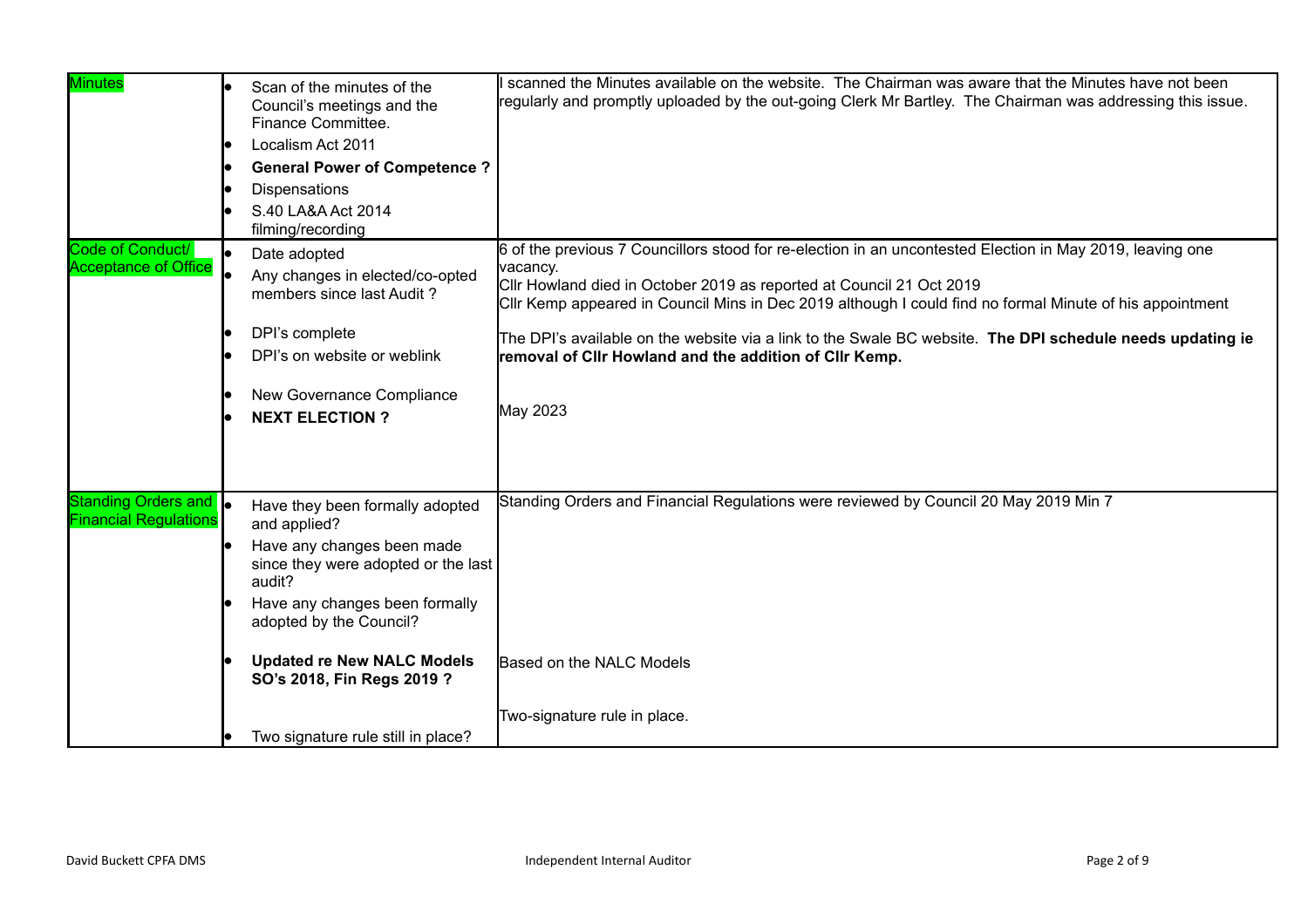| <b>Minutes</b>                                        | Scan of the minutes of the<br>Council's meetings and the<br>Finance Committee.<br>Localism Act 2011<br><b>General Power of Competence?</b><br><b>Dispensations</b><br>S.40 LA&A Act 2014<br>filming/recording                                                  | scanned the Minutes available on the website. The Chairman was aware that the Minutes have not been<br>regularly and promptly uploaded by the out-going Clerk Mr Bartley. The Chairman was addressing this issue.                                                                                                                                                                                                                                                                            |
|-------------------------------------------------------|----------------------------------------------------------------------------------------------------------------------------------------------------------------------------------------------------------------------------------------------------------------|----------------------------------------------------------------------------------------------------------------------------------------------------------------------------------------------------------------------------------------------------------------------------------------------------------------------------------------------------------------------------------------------------------------------------------------------------------------------------------------------|
| Code of Conduct/<br><b>Acceptance of Office</b>       | Date adopted<br>Any changes in elected/co-opted<br>members since last Audit?<br>DPI's complete<br>DPI's on website or weblink<br>New Governance Compliance<br><b>NEXT ELECTION?</b>                                                                            | 6 of the previous 7 Councillors stood for re-election in an uncontested Election in May 2019, leaving one<br>vacancy.<br>Cllr Howland died in October 2019 as reported at Council 21 Oct 2019<br>CIIr Kemp appeared in Council Mins in Dec 2019 although I could find no formal Minute of his appointment<br>The DPI's available on the website via a link to the Swale BC website. The DPI schedule needs updating ie<br>removal of Clir Howland and the addition of Clir Kemp.<br>May 2023 |
| Standing Orders and  <br><b>Financial Regulations</b> | Have they been formally adopted<br>and applied?<br>Have any changes been made<br>since they were adopted or the last<br>audit?<br>Have any changes been formally<br>adopted by the Council?<br><b>Updated re New NALC Models</b><br>SO's 2018, Fin Regs 2019 ? | Standing Orders and Financial Regulations were reviewed by Council 20 May 2019 Min 7<br>Based on the NALC Models                                                                                                                                                                                                                                                                                                                                                                             |
|                                                       | Two signature rule still in place?                                                                                                                                                                                                                             | Two-signature rule in place.                                                                                                                                                                                                                                                                                                                                                                                                                                                                 |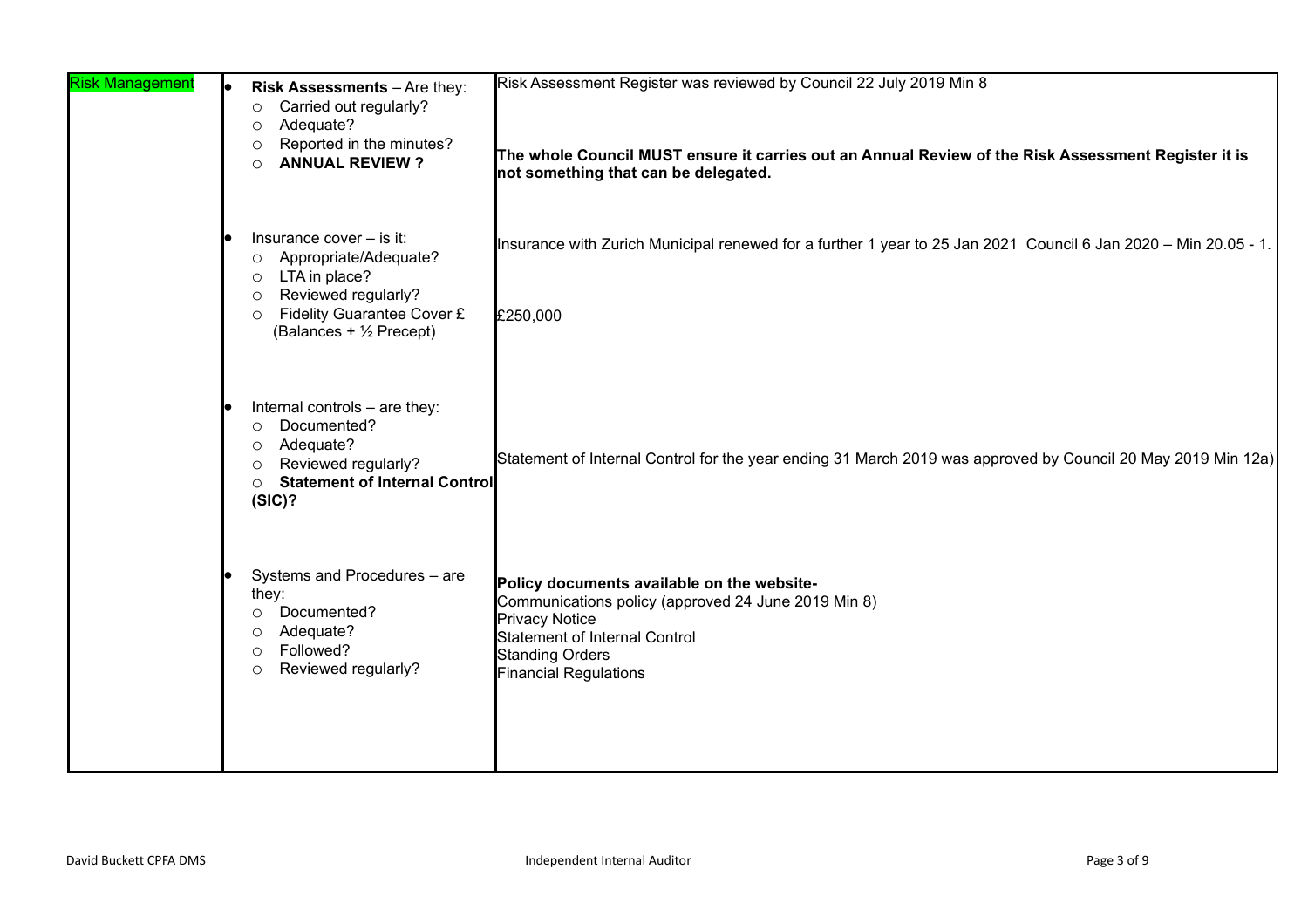| <b>Risk Management</b> | Risk Assessments - Are they:<br>Carried out regularly?<br>$\circ$<br>Adequate?<br>$\circ$<br>Reported in the minutes?<br>$\circ$<br><b>ANNUAL REVIEW?</b><br>$\circ$                                             | Risk Assessment Register was reviewed by Council 22 July 2019 Min 8<br>The whole Council MUST ensure it carries out an Annual Review of the Risk Assessment Register it is<br>not something that can be delegated.           |
|------------------------|------------------------------------------------------------------------------------------------------------------------------------------------------------------------------------------------------------------|------------------------------------------------------------------------------------------------------------------------------------------------------------------------------------------------------------------------------|
|                        | Insurance cover - is it:<br>Appropriate/Adequate?<br>$\circ$<br>LTA in place?<br>$\circ$<br>Reviewed regularly?<br>$\circ$<br><b>Fidelity Guarantee Cover £</b><br>$\circ$<br>(Balances + $\frac{1}{2}$ Precept) | Insurance with Zurich Municipal renewed for a further 1 year to 25 Jan 2021 Council 6 Jan 2020 - Min 20.05 - 1.<br>£250,000                                                                                                  |
|                        | Internal controls - are they:<br>Documented?<br>$\circ$<br>Adequate?<br>O<br>Reviewed regularly?<br>$\circ$<br><b>Statement of Internal Control</b><br>$\circ$<br>(SIC)?                                         | Statement of Internal Control for the year ending 31 March 2019 was approved by Council 20 May 2019 Min 12a)                                                                                                                 |
|                        | Systems and Procedures - are<br>they:<br>Documented?<br>$\circ$<br>Adequate?<br>O<br>Followed?<br>$\bigcirc$<br>Reviewed regularly?<br>$\circ$                                                                   | Policy documents available on the website-<br>Communications policy (approved 24 June 2019 Min 8)<br><b>Privacy Notice</b><br><b>Statement of Internal Control</b><br><b>Standing Orders</b><br><b>Financial Regulations</b> |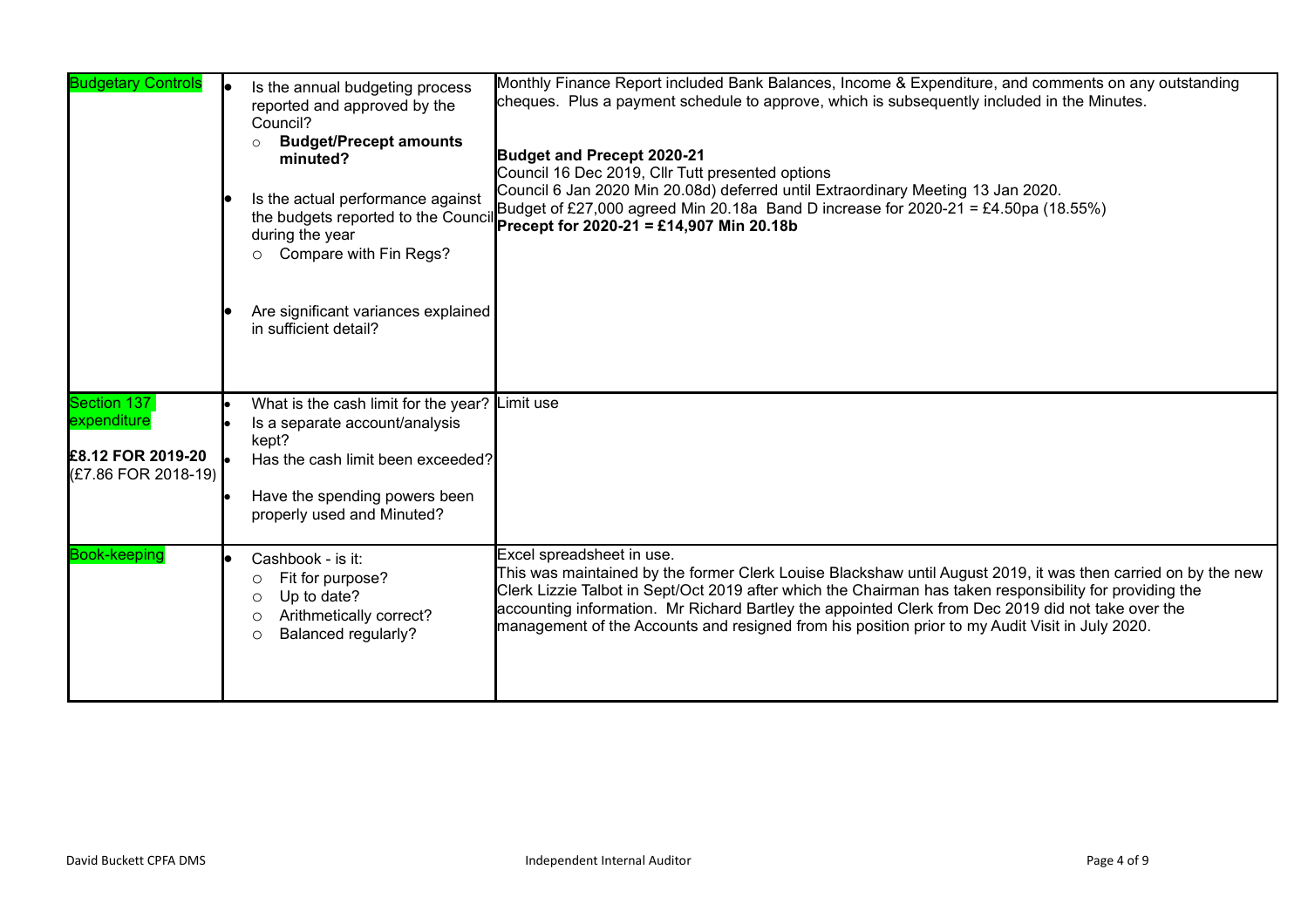| <b>Budgetary Controls</b>                                              | Is the annual budgeting process<br>reported and approved by the<br>Council?<br><b>Budget/Precept amounts</b><br>minuted?<br>Is the actual performance against<br>during the year<br>Compare with Fin Regs?<br>$\circ$<br>Are significant variances explained<br>in sufficient detail? | Monthly Finance Report included Bank Balances, Income & Expenditure, and comments on any outstanding<br>cheques. Plus a payment schedule to approve, which is subsequently included in the Minutes.<br>Budget and Precept 2020-21<br>Council 16 Dec 2019, Cllr Tutt presented options<br>Council 6 Jan 2020 Min 20.08d) deferred until Extraordinary Meeting 13 Jan 2020.<br>Is the actual performance against Budget of £27,000 agreed Min 20.18a Band D increase for 2020-21 = £4.50pa (18.55%)<br>the budgets reported to the Council <b>Precept for 2020-21 = £14,907 Min 20.18b</b> |
|------------------------------------------------------------------------|---------------------------------------------------------------------------------------------------------------------------------------------------------------------------------------------------------------------------------------------------------------------------------------|------------------------------------------------------------------------------------------------------------------------------------------------------------------------------------------------------------------------------------------------------------------------------------------------------------------------------------------------------------------------------------------------------------------------------------------------------------------------------------------------------------------------------------------------------------------------------------------|
| Section 137<br>expenditure<br>£8.12 FOR 2019-20<br>(£7.86 FOR 2018-19) | What is the cash limit for the year?<br>Is a separate account/analysis<br>kept?<br>Has the cash limit been exceeded?<br>Have the spending powers been<br>properly used and Minuted?                                                                                                   | Limit use                                                                                                                                                                                                                                                                                                                                                                                                                                                                                                                                                                                |
| <b>Book-keeping</b>                                                    | Cashbook - is it:<br>Fit for purpose?<br>O<br>Up to date?<br>◯<br>Arithmetically correct?<br>$\circ$<br><b>Balanced regularly?</b><br>$\circ$                                                                                                                                         | Excel spreadsheet in use.<br>This was maintained by the former Clerk Louise Blackshaw until August 2019, it was then carried on by the new<br>Clerk Lizzie Talbot in Sept/Oct 2019 after which the Chairman has taken responsibility for providing the<br>accounting information. Mr Richard Bartley the appointed Clerk from Dec 2019 did not take over the<br>management of the Accounts and resigned from his position prior to my Audit Visit in July 2020.                                                                                                                          |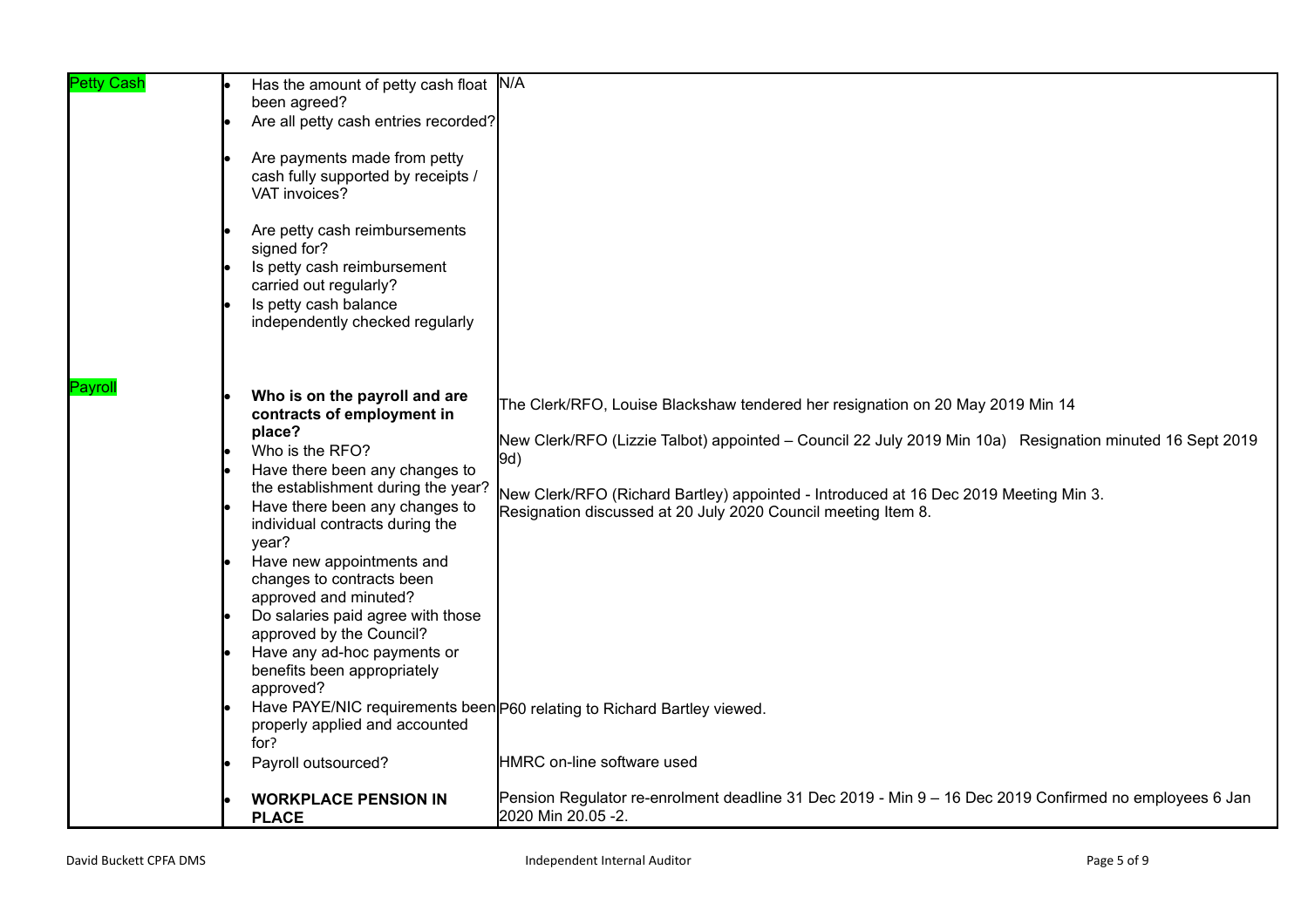| <b>Petty Cash</b> | Has the amount of petty cash float<br>been agreed?<br>Are all petty cash entries recorded?<br>Are payments made from petty<br>cash fully supported by receipts /<br>VAT invoices?<br>Are petty cash reimbursements<br>signed for?<br>Is petty cash reimbursement                                                                                                                                                                                                              | N/A                                                                                                                                                                                                                                                                                                                                                        |
|-------------------|-------------------------------------------------------------------------------------------------------------------------------------------------------------------------------------------------------------------------------------------------------------------------------------------------------------------------------------------------------------------------------------------------------------------------------------------------------------------------------|------------------------------------------------------------------------------------------------------------------------------------------------------------------------------------------------------------------------------------------------------------------------------------------------------------------------------------------------------------|
|                   | carried out regularly?<br>Is petty cash balance<br>independently checked regularly                                                                                                                                                                                                                                                                                                                                                                                            |                                                                                                                                                                                                                                                                                                                                                            |
| Payroll           | Who is on the payroll and are<br>contracts of employment in<br>place?<br>Who is the RFO?<br>Have there been any changes to<br>the establishment during the year?<br>Have there been any changes to<br>individual contracts during the<br>year?<br>Have new appointments and<br>changes to contracts been<br>approved and minuted?<br>Do salaries paid agree with those<br>approved by the Council?<br>Have any ad-hoc payments or<br>benefits been appropriately<br>approved? | The Clerk/RFO, Louise Blackshaw tendered her resignation on 20 May 2019 Min 14<br>New Clerk/RFO (Lizzie Talbot) appointed - Council 22 July 2019 Min 10a) Resignation minuted 16 Sept 2019<br>9d)<br>New Clerk/RFO (Richard Bartley) appointed - Introduced at 16 Dec 2019 Meeting Min 3.<br>Resignation discussed at 20 July 2020 Council meeting Item 8. |
|                   | properly applied and accounted<br>for?<br>Payroll outsourced?                                                                                                                                                                                                                                                                                                                                                                                                                 | Have PAYE/NIC requirements been P60 relating to Richard Bartley viewed.<br><b>HMRC</b> on-line software used                                                                                                                                                                                                                                               |
|                   | <b>WORKPLACE PENSION IN</b><br><b>PLACE</b>                                                                                                                                                                                                                                                                                                                                                                                                                                   | Pension Regulator re-enrolment deadline 31 Dec 2019 - Min 9 - 16 Dec 2019 Confirmed no employees 6 Jan<br>2020 Min 20.05 -2.                                                                                                                                                                                                                               |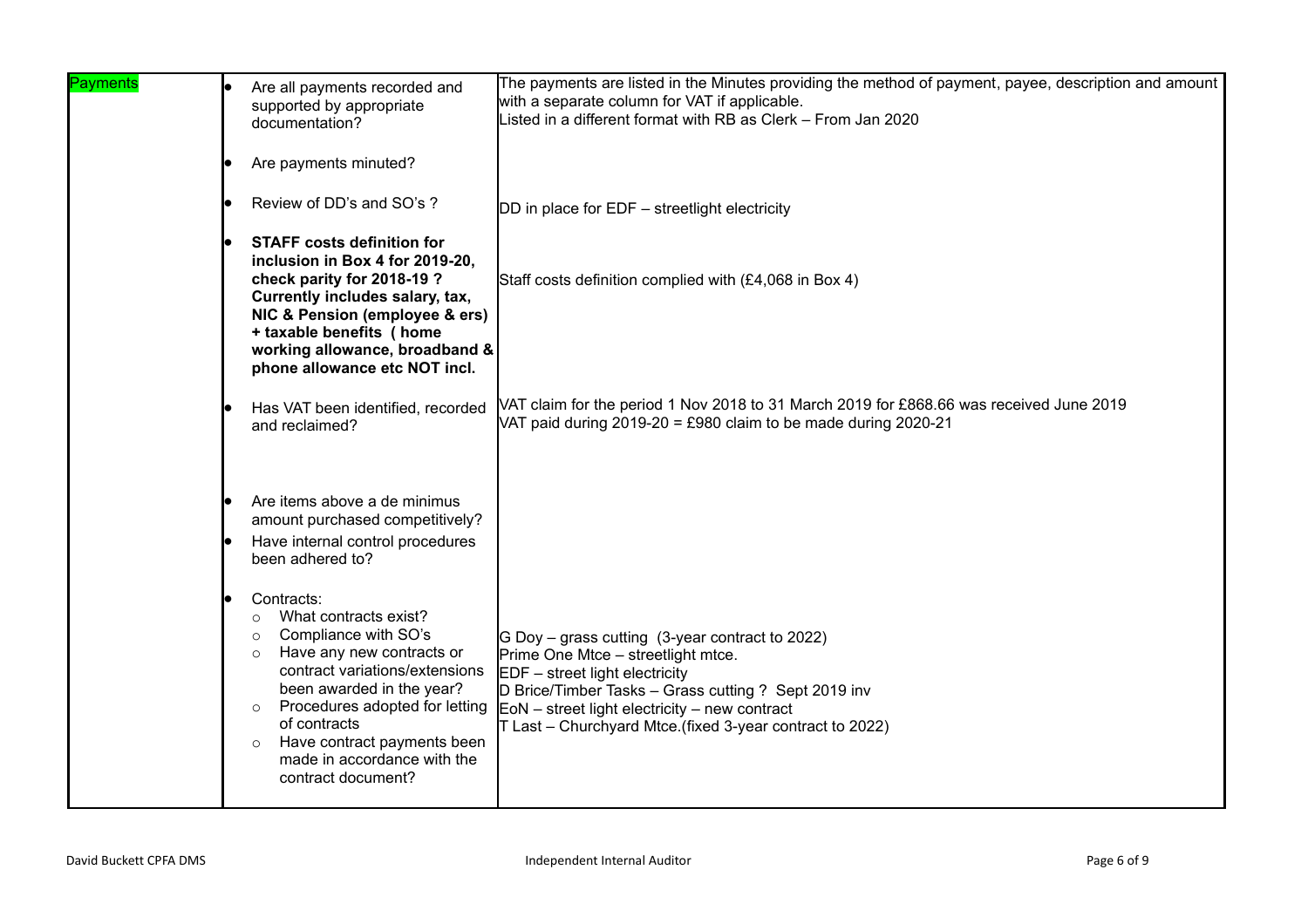| Payments | Are all payments recorded and<br>supported by appropriate<br>documentation?                                                                                                                                                                                                                                                               | The payments are listed in the Minutes providing the method of payment, payee, description and amount<br>with a separate column for VAT if applicable.<br>Listed in a different format with RB as Clerk – From Jan 2020                                                                          |
|----------|-------------------------------------------------------------------------------------------------------------------------------------------------------------------------------------------------------------------------------------------------------------------------------------------------------------------------------------------|--------------------------------------------------------------------------------------------------------------------------------------------------------------------------------------------------------------------------------------------------------------------------------------------------|
|          | Are payments minuted?                                                                                                                                                                                                                                                                                                                     |                                                                                                                                                                                                                                                                                                  |
|          | Review of DD's and SO's ?                                                                                                                                                                                                                                                                                                                 | DD in place for EDF - streetlight electricity                                                                                                                                                                                                                                                    |
|          | <b>STAFF costs definition for</b><br>inclusion in Box 4 for 2019-20,<br>check parity for 2018-19?<br>Currently includes salary, tax,<br>NIC & Pension (employee & ers)<br>+ taxable benefits ( home<br>working allowance, broadband &<br>phone allowance etc NOT incl.                                                                    | Staff costs definition complied with (£4,068 in Box 4)                                                                                                                                                                                                                                           |
|          | Has VAT been identified, recorded<br>and reclaimed?                                                                                                                                                                                                                                                                                       | VAT claim for the period 1 Nov 2018 to 31 March 2019 for £868.66 was received June 2019<br>VAT paid during 2019-20 = £980 claim to be made during 2020-21                                                                                                                                        |
|          | Are items above a de minimus<br>amount purchased competitively?<br>Have internal control procedures<br>been adhered to?                                                                                                                                                                                                                   |                                                                                                                                                                                                                                                                                                  |
|          | Contracts:<br>What contracts exist?<br>$\circ$<br>Compliance with SO's<br>$\circ$<br>Have any new contracts or<br>$\circ$<br>contract variations/extensions<br>been awarded in the year?<br>Procedures adopted for letting<br>$\circ$<br>of contracts<br>Have contract payments been<br>made in accordance with the<br>contract document? | G Doy – grass cutting (3-year contract to 2022)<br>Prime One Mtce - streetlight mtce.<br>$EDF - street$ light electricity<br>D Brice/Timber Tasks - Grass cutting ? Sept 2019 inv<br>$EON - street$ light electricity – new contract<br>T Last - Churchyard Mtce.(fixed 3-year contract to 2022) |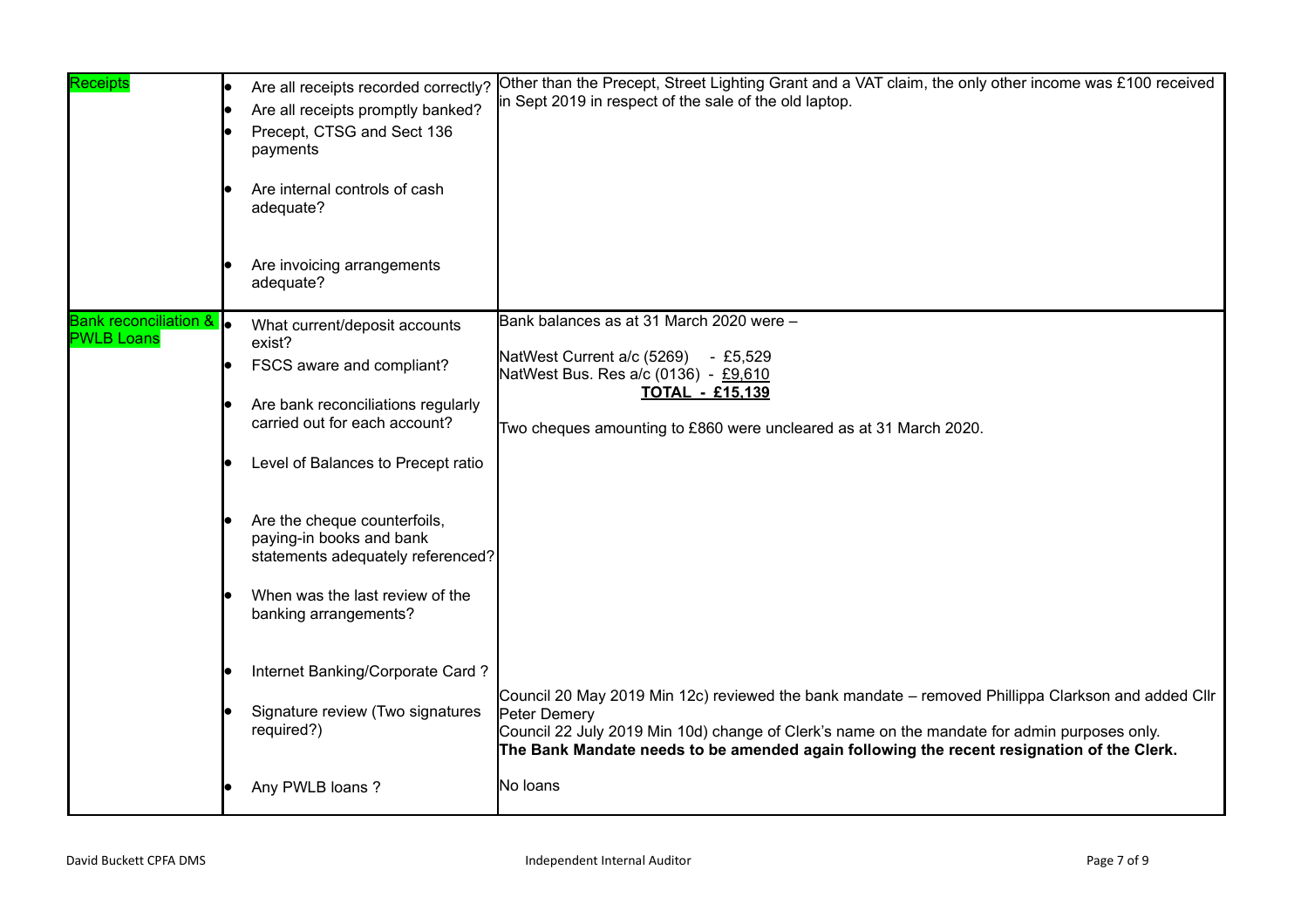| <b>Receipts</b>                                         | Are all receipts recorded correctly?<br>Are all receipts promptly banked?<br>Precept, CTSG and Sect 136<br>payments<br>Are internal controls of cash<br>adequate?<br>Are invoicing arrangements<br>adequate?                                                                                                                                                                       | Other than the Precept, Street Lighting Grant and a VAT claim, the only other income was £100 received<br>in Sept 2019 in respect of the sale of the old laptop.                                                                                                                                                            |
|---------------------------------------------------------|------------------------------------------------------------------------------------------------------------------------------------------------------------------------------------------------------------------------------------------------------------------------------------------------------------------------------------------------------------------------------------|-----------------------------------------------------------------------------------------------------------------------------------------------------------------------------------------------------------------------------------------------------------------------------------------------------------------------------|
| <b>Bank reconciliation &amp;  </b><br><b>PWLB Loans</b> | What current/deposit accounts<br>exist?<br>FSCS aware and compliant?<br>Are bank reconciliations regularly<br>carried out for each account?<br>Level of Balances to Precept ratio<br>Are the cheque counterfoils,<br>paying-in books and bank<br>statements adequately referenced?<br>When was the last review of the<br>banking arrangements?<br>Internet Banking/Corporate Card? | Bank balances as at 31 March 2020 were -<br>NatWest Current a/c (5269) - £5,529<br>NatWest Bus. Res a/c (0136) - £9,610<br><b>TOTAL - £15.139</b><br>Two cheques amounting to £860 were uncleared as at 31 March 2020.                                                                                                      |
|                                                         | Signature review (Two signatures<br>required?)<br>Any PWLB loans?                                                                                                                                                                                                                                                                                                                  | Council 20 May 2019 Min 12c) reviewed the bank mandate – removed Phillippa Clarkson and added Cllr<br>Peter Demery<br>Council 22 July 2019 Min 10d) change of Clerk's name on the mandate for admin purposes only.<br>The Bank Mandate needs to be amended again following the recent resignation of the Clerk.<br>No loans |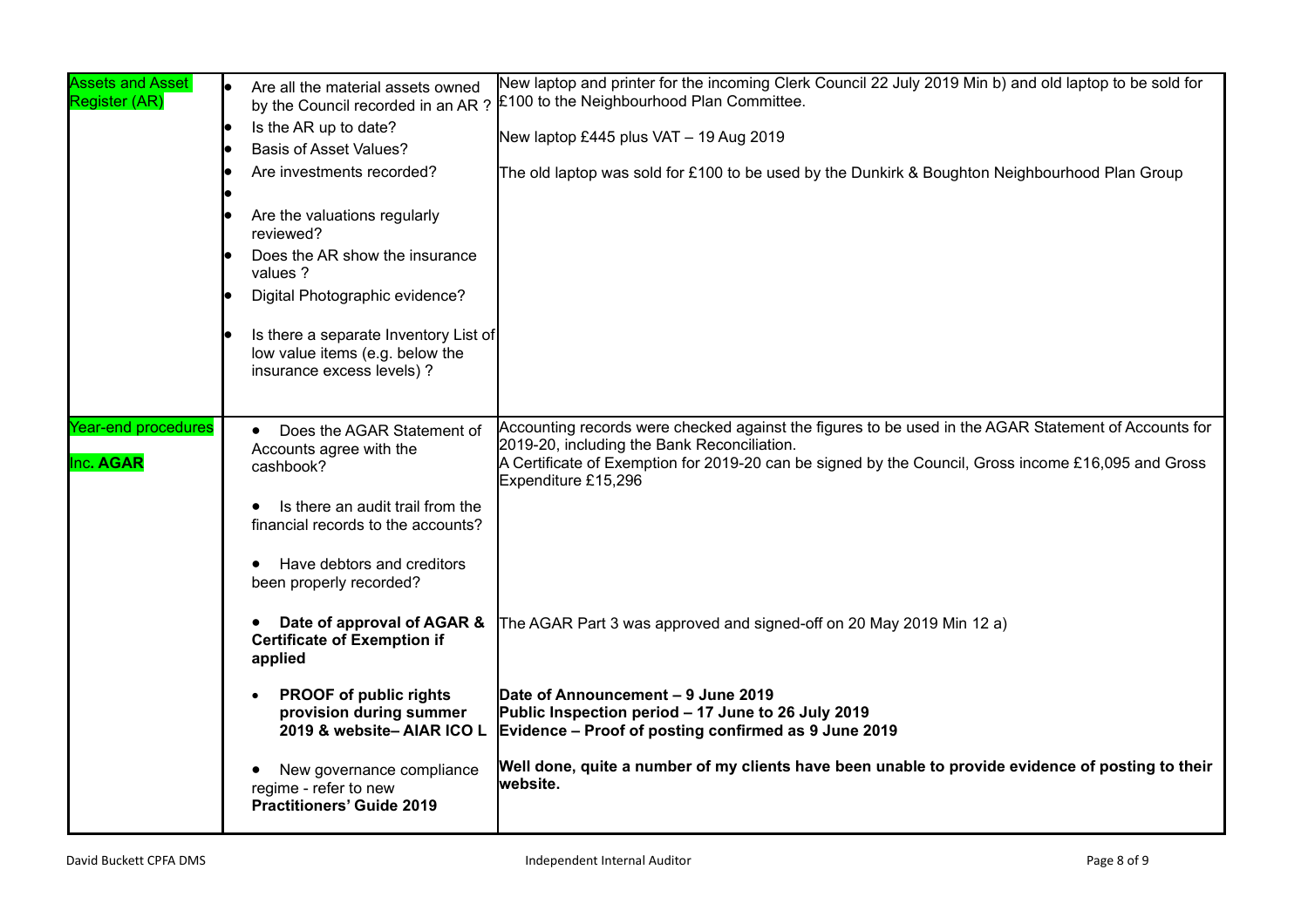| <b>Assets and Asset</b><br>Register (AR) | Are all the material assets owned<br>by the Council recorded in an AR?<br>Is the AR up to date?<br><b>Basis of Asset Values?</b><br>Are investments recorded?<br>Are the valuations regularly<br>reviewed?<br>Does the AR show the insurance<br>values ?<br>Digital Photographic evidence?<br>Is there a separate Inventory List of<br>low value items (e.g. below the<br>insurance excess levels) ? | New laptop and printer for the incoming Clerk Council 22 July 2019 Min b) and old laptop to be sold for<br>£100 to the Neighbourhood Plan Committee.<br>New laptop £445 plus VAT - 19 Aug 2019<br>The old laptop was sold for £100 to be used by the Dunkirk & Boughton Neighbourhood Plan Group |
|------------------------------------------|------------------------------------------------------------------------------------------------------------------------------------------------------------------------------------------------------------------------------------------------------------------------------------------------------------------------------------------------------------------------------------------------------|--------------------------------------------------------------------------------------------------------------------------------------------------------------------------------------------------------------------------------------------------------------------------------------------------|
| Year-end procedures<br>Inc. AGAR         | Does the AGAR Statement of<br>Accounts agree with the<br>cashbook?<br>Is there an audit trail from the<br>financial records to the accounts?<br>Have debtors and creditors<br>been properly recorded?                                                                                                                                                                                                | Accounting records were checked against the figures to be used in the AGAR Statement of Accounts for<br>2019-20, including the Bank Reconciliation.<br>A Certificate of Exemption for 2019-20 can be signed by the Council, Gross income £16,095 and Gross<br>Expenditure £15,296                |
|                                          | Date of approval of AGAR &<br><b>Certificate of Exemption if</b><br>applied                                                                                                                                                                                                                                                                                                                          | The AGAR Part 3 was approved and signed-off on 20 May 2019 Min 12 a)                                                                                                                                                                                                                             |
|                                          | <b>PROOF of public rights</b><br>provision during summer<br>2019 & website-AIAR ICO L                                                                                                                                                                                                                                                                                                                | Date of Announcement - 9 June 2019<br>Public Inspection period - 17 June to 26 July 2019<br>Evidence – Proof of posting confirmed as 9 June 2019                                                                                                                                                 |
|                                          | New governance compliance<br>regime - refer to new<br><b>Practitioners' Guide 2019</b>                                                                                                                                                                                                                                                                                                               | Well done, quite a number of my clients have been unable to provide evidence of posting to their<br>website.                                                                                                                                                                                     |